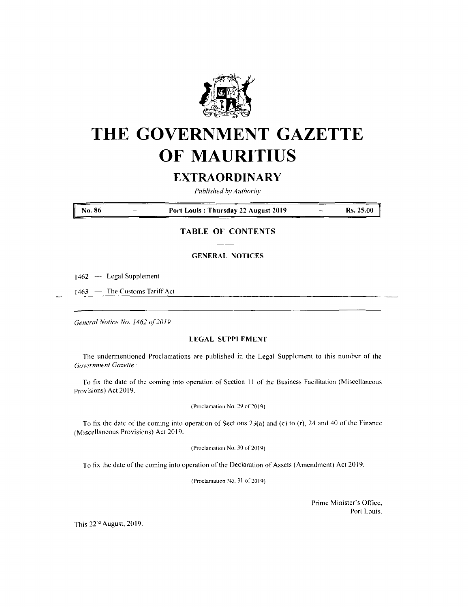

# **THE GOVERNMENT GAZETTE OF MAURITIUS**

# **EXTRAORDINARY**

*Published by Authority*

**No. <sup>86</sup> - Port Louis : Thursday <sup>22</sup> August <sup>2019</sup> Rs. 25.00**

# **TABLE OF CONTENTS**

### **GENERAL NOTICES**

1462 — Legal Supplement

1463 — The Customs Tariff Act

*General Notice No. 1462 of201*<sup>9</sup>

# **LEGAL SUPPLEMENT**

The undermentioned Proclamations are published in the Legal Supplement to this number of the *Government Gazette:*

To fix the date of the coming into operation of Section <sup>11</sup> of the Business Facilitation (Miscellaneous Provisions) Act 2019.

(Proclamation No. 29 of 2019)

To fix the date of the coming into operation of Sections 23(a) and (c) to (r), 24 and 40 of the Finance (Miscellaneous Provisions) Act 2019.

(Proclamation No. 30 of 2019)

To fix the date of the coming into operation of the Declaration of Assets (Amendment) Act 2019.

(Proclamation No. <sup>31</sup> of 2019)

Prime Minister's Office, Port Louis.

This 22nd August, 2019.